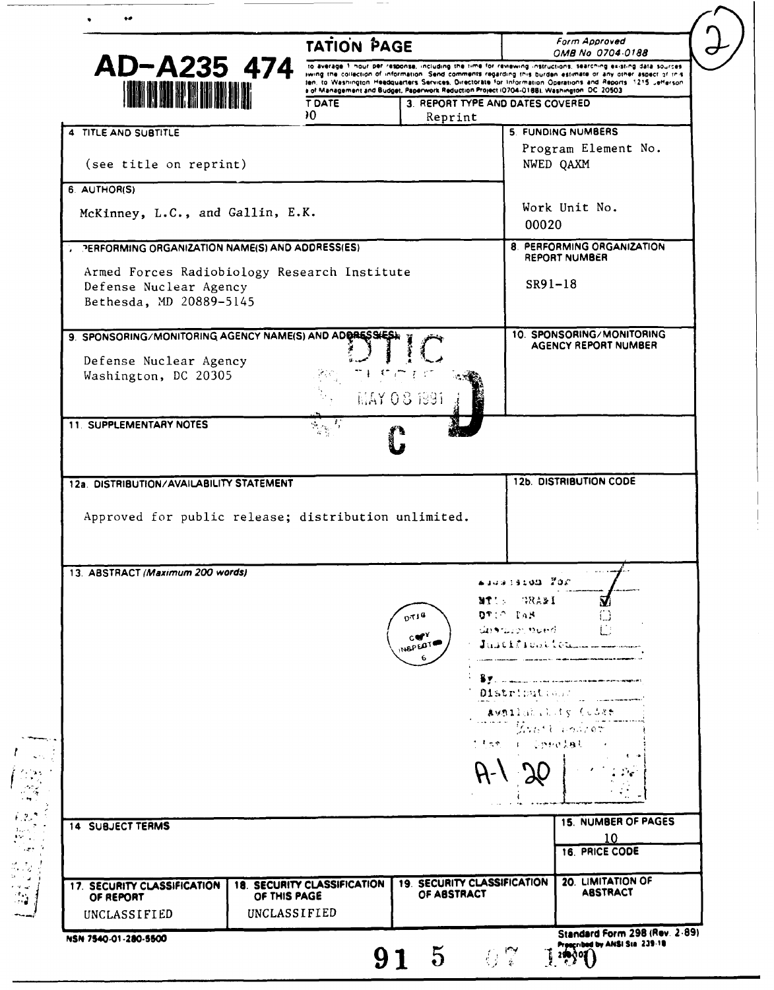|                                                                                                   | <b>TATION PAGE</b>                                                                                   |                                                                                                                                                                                                                                                                                                                                                |                              | Form Approved<br>OMB No 0704-0188                               |  |
|---------------------------------------------------------------------------------------------------|------------------------------------------------------------------------------------------------------|------------------------------------------------------------------------------------------------------------------------------------------------------------------------------------------------------------------------------------------------------------------------------------------------------------------------------------------------|------------------------------|-----------------------------------------------------------------|--|
| AD-A235 474                                                                                       |                                                                                                      | to average 1 hour per response, including the time for reviewing instructions, searching existing data sources<br>iwing the collection of information. Send comments regarding this burden estimate or any other aspect of this<br>ten, to Washington Headquarters Services, Directorate for Information Operations and Reports 1215 Jefferson |                              |                                                                 |  |
| <b>IN NORTH DEN</b>                                                                               | a of Management and Budget, Paperwork Reduction Project (0704-0188), Washington, DC 20503.<br>T DATE |                                                                                                                                                                                                                                                                                                                                                |                              |                                                                 |  |
|                                                                                                   | эO                                                                                                   | 3. REPORT TYPE AND DATES COVERED<br>Reprint                                                                                                                                                                                                                                                                                                    |                              |                                                                 |  |
| 4 TITLE AND SUBTITLE                                                                              |                                                                                                      |                                                                                                                                                                                                                                                                                                                                                |                              | 5. FUNDING NUMBERS                                              |  |
| (see title on reprint)                                                                            |                                                                                                      |                                                                                                                                                                                                                                                                                                                                                |                              | Program Element No.<br>NWED QAXM                                |  |
| 6. AUTHOR(S)                                                                                      |                                                                                                      |                                                                                                                                                                                                                                                                                                                                                |                              |                                                                 |  |
| McKinney, L.C., and Gallin, E.K.                                                                  |                                                                                                      |                                                                                                                                                                                                                                                                                                                                                |                              | Work Unit No.<br>00020                                          |  |
| <b>TERFORMING ORGANIZATION NAME(S) AND ADDRESS(ES)</b>                                            |                                                                                                      |                                                                                                                                                                                                                                                                                                                                                |                              | 8. PERFORMING ORGANIZATION<br>REPORT NUMBER                     |  |
| Armed Forces Radiobiology Research Institute<br>Defense Nuclear Agency<br>Bethesda, MD 20889-5145 |                                                                                                      |                                                                                                                                                                                                                                                                                                                                                |                              | SR91-18                                                         |  |
| 9. SPONSORING/MONITORING AGENCY NAME(S) AND ADDRESSEE                                             |                                                                                                      |                                                                                                                                                                                                                                                                                                                                                |                              | 10. SPONSORING/MONITORING                                       |  |
| Defense Nuclear Agency                                                                            |                                                                                                      |                                                                                                                                                                                                                                                                                                                                                |                              | <b>AGENCY REPORT NUMBER</b>                                     |  |
| Washington, DC 20305                                                                              |                                                                                                      |                                                                                                                                                                                                                                                                                                                                                |                              |                                                                 |  |
|                                                                                                   |                                                                                                      | MAY 08 1991                                                                                                                                                                                                                                                                                                                                    |                              |                                                                 |  |
| 11. SUPPLEMENTARY NOTES                                                                           |                                                                                                      |                                                                                                                                                                                                                                                                                                                                                |                              |                                                                 |  |
|                                                                                                   |                                                                                                      |                                                                                                                                                                                                                                                                                                                                                |                              |                                                                 |  |
| 12a. DISTRIBUTION/AVAILABILITY STATEMENT<br>Approved for public release; distribution unlimited.  |                                                                                                      |                                                                                                                                                                                                                                                                                                                                                |                              | <b>12b. DISTRIBUTION CODE</b>                                   |  |
| 13. ABSTRACT (Maximum 200 words)                                                                  |                                                                                                      |                                                                                                                                                                                                                                                                                                                                                |                              |                                                                 |  |
|                                                                                                   |                                                                                                      |                                                                                                                                                                                                                                                                                                                                                | adusistom For<br>14ASS TRANS | $\vec{\mathbf{v}}$                                              |  |
|                                                                                                   |                                                                                                      | 0119                                                                                                                                                                                                                                                                                                                                           | $QT$ : $C$ $I$ AN            | نسأ                                                             |  |
|                                                                                                   |                                                                                                      | $c \in Y$                                                                                                                                                                                                                                                                                                                                      | Unarwert nued.               | i i                                                             |  |
|                                                                                                   |                                                                                                      | INSPECTE                                                                                                                                                                                                                                                                                                                                       |                              |                                                                 |  |
|                                                                                                   |                                                                                                      |                                                                                                                                                                                                                                                                                                                                                |                              |                                                                 |  |
|                                                                                                   |                                                                                                      |                                                                                                                                                                                                                                                                                                                                                | Distribution                 | Aveilability Cudae                                              |  |
|                                                                                                   |                                                                                                      |                                                                                                                                                                                                                                                                                                                                                |                              | Evert Louiser                                                   |  |
|                                                                                                   |                                                                                                      |                                                                                                                                                                                                                                                                                                                                                | titse i Operatual            |                                                                 |  |
|                                                                                                   |                                                                                                      |                                                                                                                                                                                                                                                                                                                                                |                              |                                                                 |  |
|                                                                                                   |                                                                                                      |                                                                                                                                                                                                                                                                                                                                                |                              |                                                                 |  |
|                                                                                                   |                                                                                                      |                                                                                                                                                                                                                                                                                                                                                |                              |                                                                 |  |
| <b>14 SUBJECT TERMS</b>                                                                           |                                                                                                      |                                                                                                                                                                                                                                                                                                                                                |                              | <b>15. NUMBER OF PAGES</b><br>10                                |  |
|                                                                                                   |                                                                                                      |                                                                                                                                                                                                                                                                                                                                                |                              | <b>16. PRICE CODE</b>                                           |  |
| 17. SECURITY CLASSIFICATION<br>OF REPORT                                                          | 18. SECURITY CLASSIFICATION<br>OF THIS PAGE                                                          | OF ABSTRACT                                                                                                                                                                                                                                                                                                                                    | 19. SECURITY CLASSIFICATION  | 20. LIMITATION OF<br><b>ABSTRACT</b>                            |  |
| UNCLASSIFIED                                                                                      | UNCLASSIFIED                                                                                         |                                                                                                                                                                                                                                                                                                                                                |                              |                                                                 |  |
| NSN 7540-01-280-5500                                                                              |                                                                                                      | $91\;\;5$                                                                                                                                                                                                                                                                                                                                      | $-0.7$                       | Standard Form 298 (Rev. 2-89)<br>Prescribed by ANSI Sta. 239-18 |  |

 $\longrightarrow$   $\rightarrow$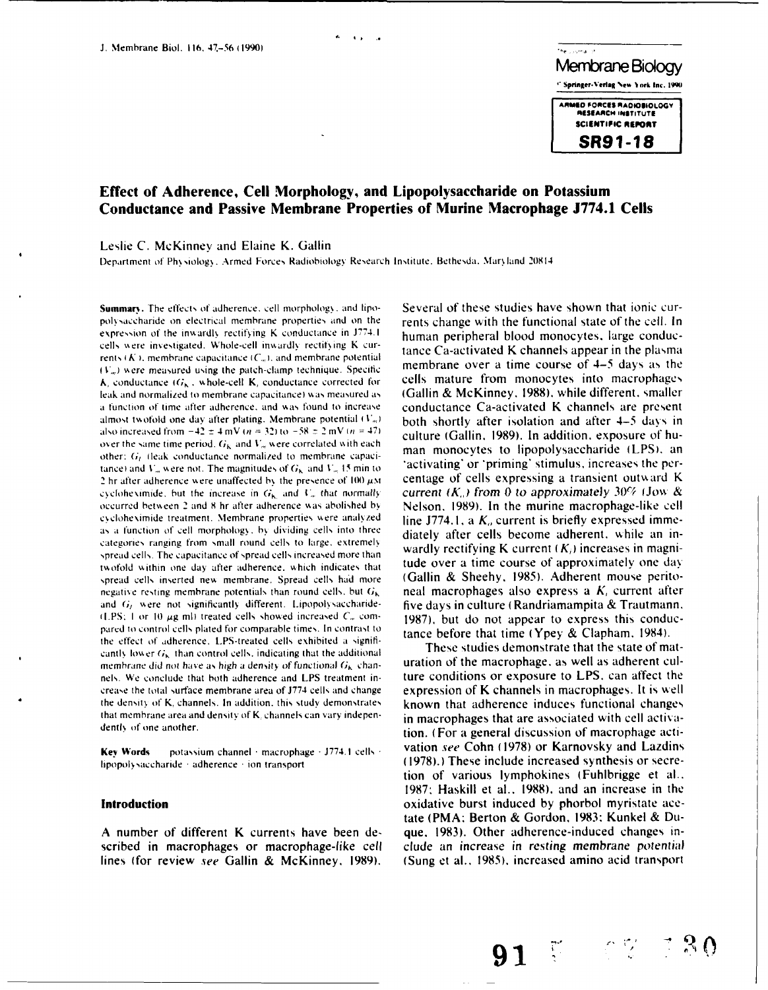

# **Effect of Adherence, Cell Morphology, and Lipopolysaccharide on Potassium Conductance and Passive Membrane Properties of Murine Macrophage J774.1 Cells**

 $\overline{\mathbf{A}}$  is

Leslie **C.** McKinney and Elaine K. Gallin

Department of Physiology. Armed Forces Radiobiology Research Institute. Bethesda. Maryland 20814

polsaccharide on electrical membrane properties and on the rents change with the functional state of the cell. In expression of the inwardly rectifying K conductance in J774.1 human peripheral blood monocytes, large conduccells were investigated. Whole-cell inwardly rectifying K cur-<br>tance Ca-activated K channels appear in the plasma rents  $(K)$ , membrane capacitance  $(C_m)$ , and membrane potential (V<sub>n</sub>) were measured using the patch-clamp technique. Specific membrane over a time course of  $4-5$  days as the **k**, conductance  $(G_K, \text{ whole-cell K}$ , conductance corrected for cells mature from monocytes into macrophages  $\mathbf{k}$ , conductance into macrophages  $\mathbf{k}$ , conductance corrected for cells mature from monocytes into macrophages leak and normalized to membrane capacitance) was measured as a function of time after adherence, and \&as found **io** increase conductance Ca-activated K channels are present almost twofold one day after plating. Membrane potential  $(V_m)$  both shortly after isolation and after 4-5 days in also increased from  $-42 \pm 4$  mV ( $n = 32$ ) to  $-58 \pm 2$  mV ( $n = 47$ ) culture (Gallin, 1989). In addition, exposure of huover the same time period.  $G_{\mathbf{k}_1}$  and  $V_m$  were correlated with each over the same time period.  $\sigma_{K}$  and  $\sigma_{m}$  were correlated with each man monocytes to lipopolysaccharide (LPS), an other: G<sub>t</sub> (leak conductance normalized to membrane capacitance) and V<sub>in</sub> were not. The magnitudes of  $G_k$  and  $V_m$  15 min to activating<sup>\*</sup> or \*priming\* stimulus, increases the per-2 hr after adherence were unaffected by the presence of  $100 \mu$ M centage of cells expressing a transient outward K cyclobesimide, but the increase in G<sub>r</sub> and U<sub>n</sub> that normally current  $(K_a)$  from 0 to approximately 30% ( cycloheximide, but the increase in  $G_{\mathbf{k}_0}$  and  $V_m$  that normally occurred between 2 and 8 hr after adherence was abolished by **Nelson. 1989). In the murine macrophage-like** cell cycloheximide treatment. Membrane properties were analyzed line J774.1, a  $K<sub>a</sub>$  current is briefly expressed immeas a function of cell morphology, by dividing cells into three diately after cells become adherent, while an incategories ranging from small round cells to large. extremely spread cells. The capacitance of spread cells increased more than wardly rectifying K current  $(K_i)$  increases in magni-<br>modeld within one day ofter adherence, which indicates that **tude** over a time course of approximatel twofold within one day after adherence, which indicates that tude over a time course of approximately one day<br>spread cells inserted new membrane. Spread cells had more (Gallin & Sheehy, 1985). Adherent mouse peritospread cells inserted new membrane. Spread cells had more negative resting membrane potentials than round cells, but  $G_k$  neal macrophages also express a K, current after and G<sub>t</sub> were not significantly different. Lipopolysaccharide- five days in culture (Randriamampita & Trautmann,  $(1)$ PS: I or 10  $\mu$ g ml) treated cells showed increased  $C<sub>m</sub>$  com- $\frac{1987}{100}$ , but do not appear to express this conducpared to control cells plated for comparable times. In contrast to tance before that time (Ypey & Clapham. 1984). the effect of adherence. tPS-treated cells exhibited a significantly lower  $G_k$  than control cells, indicating that the additional These studies demonstrate that the state of matmembrane did not have as high a density of functional  $G_k$  chan- uration of the macrophage, as well as adherent culnels. We conclude that both adherence and LPS treatment in- ture conditions or exposure to LPS. can affect the crease the total surface membrane area of J774 cells and change expression of K channels in macrophages. It is well the density of K, channels. In addition, this study demonstrates known that adherence induces functional changes that membrane area and density of K. channels can vary indepen-

lipopolysaccharide adherence ion transport (1978).) These include increased synthesis or secre-

scribed in macrophages or macrophage-like cell clude an increase in resting membrane potential lines (for review see Gallin **&** McKinney. **1989).** (Sung et al.. **1985).** increased amino acid transport

**Summary.** The effects of adherence, cell morphology, and lipo-<br>Several of these studies have shown that ionic cur-

dentl, of one another. tion. (For **I** general discussion of macrophage acti-**Key Words** potassium channel macrophage **-**J774.1 cells vation see Cohn (1978) or Karnovsky and Lazdins tion of various lymphokines (Fuhlbrigge et al.. **1987:** Haskill et al.. **1988).** and an increase in the **Introduction by a construction** oxidative burst induced by phorbol myristate acetate (PMA: Berton & Gordon, 1983: Kunkel & Du-**A** number of different K currents have been de- que. **1983).** Other adherence-induced changes in-

**91 ." -"**

 $\mathcal{S}$   $\Omega$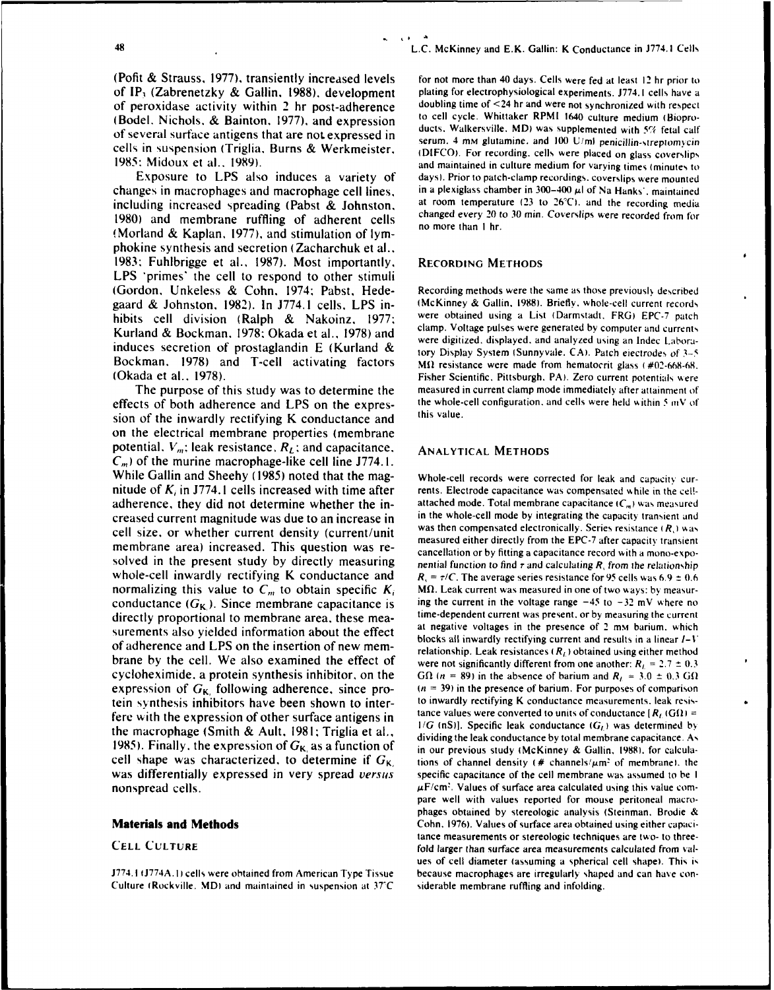(Pofit & Strauss, 1977), transiently increased levels for not more than 40 days. Cells were fed at least 12 hr prior to of **IP,** (Zabrenetzky & Gallin, 1988). development plating for electrophysiological experiments. **J774.1** cells have a of peroxidase activity within 2 hr post-adherence doubling time of <24 hr and were not synchronized with respect<br>(Bodal Nichols & Bainton, 1977), and expression to cell cycle. Whittaker RPMI 1640 culture medium (Biopro-

changes in macrophages and macrophage cell lines, in a plexiglass chamber in 300-400 µl of Na Hanks', maintained including increased spreading (Pabst & Johnston, at room temperature **(23** to 26'C). and the recording media 1980) and membrane ruffling of adherent cells changed every 20 to 30 min. Coverslips were recorded from flow than  $\frac{1}{2}$  **1980** (Morland & Kaplan, 1977), and stimulation of lymphokine synthesis and secretion (Zacharchuk et al.. 1983: Fuhlbrigge et al., 1987). Most importantly. RECORDING **METHODS** LPS 'primes' the cell to respond to other stimuli (Gordon, Unkeless & Cohn. 1974: Pabst, Hede- Recording methods were the same as those previoushy described gaard & Johnston, 1982). In J774.1 cells, LPS in- (McKinney & Gallin, 1988). Briefly, whole-cell current records hibits cell division (Ralph & Nakoinz, 1977; were obtained using a List (Darmstadt, FRG) EPC-7 patch<br>Kunland & Dardingen 1978: Oberlands at al. 1978) and clamp. Voltage pulses were generated by computer and currents Kurland & Bockman. 1978: Okada et al., 1978) and clamp. Voltage pulses were generated by computer and currents<br>contract the contract of the current were digitized, displayed, and analyzed using an Indec Laborainduces secretion of prostaglandin **E** (Kurland & tory Display System (Sunnyvale. CA). Patch eiectrodes of 3-5 Bockman. 1978) and T-cell activating factors Mi resistance were made from hematocrit glass (#02-668-68. (Okada et al.. 1978). Fisher Scientific. Pittsburgh. PA). Zero current potentials were

effects of both adherence and LPS on the expres- the whole-cell configuration, and cells were held within 5 *mV* of sion of the inwardly rectifying K conductance and this value. on the electrical membrane properties (membrane potential.  $V_m$ ; leak resistance,  $R_L$ ; and capacitance. ANALYTICAL METHODS  $C_m$ ) of the murine macrophage-like cell line J774.1. While Gallin and Sheehy (1985) noted that the mag-<br>whole-cell records were corrected for leak and capacity curnitude of  $K_i$  in J774.1 cells increased with time after rents. Electrode capacitance was compensated while in the celladherence, they did not determine whether the in-<br>attached mode. Total membrane capacitance *IC<sub>n</sub>*) was measured creased current magnitude was due to an increase in in the whole-cell mode by integrating the capacity transient and  $\text{cell size}$  or whether current density (current/unit was then compensated electronically. Series resistance cell size, or whether current density (current/unit was then compensated electronically. Series resistance **(R,)** was measured either directly from the EPC-7 after capacity transient membrane area) increased. This question was re-<br>cancellation or by fitting a capacitance record with a mono-exposolved in the present study by directly measuring nential function to find  $\tau$  and calculating  $R$ , from the relationship whole-cell inwardly rectifying K conductance and  $R_1 = \tau/C$ . The average series resistance for 95 cells was 6.9  $\pm$  0.6 normalizing this value to  $C_m$  to obtain specific  $K_i$  M $\Omega$ . Leak current was measured in one of two ways: by measurconductance  $(G_K)$ . Since membrane capacitance is ing the current in the voltage range  $-45$  to  $-32$  mV where no directly proportional to membrane area. these mea-<br>time-dependent current was present, or by measuring the current surements also yielded information about the effect<br>surements also yielded information about the effect<br>blocks all inwardly rectifying current and results in a linear  $I-V$ of adherence and LPS on the insertion of new mem-<br>relationship. Leak resistances  $(R_L)$  obtained using either method brane by the cell. We also examined the effect of were not significantly different from one another:  $R_1 = 2.7 \pm 0.3$ cycloheximide, a protein synthesis inhibitor, on the **GO**  $(n = 89)$  in the absence of barium and  $R<sub>L</sub> = 3.0 \pm 0.3$  GO expression of  $G_K$ , following adherence, since pro-  $(n = 39)$  in the presence of barium. For purposes of comparison tein synthesis inhibitors have been shown to inter- to inwardly rectifying K conductance measurements, leak resisthe macrophage (Smith & Ault, 1981; Triglia et al.,<br>the macrophage (Smith & Ault, 1981; Triglia et al.,  $^{1/G}$  (nS)). Specific leak conductance ( $G_l$ ) was determined by<br>dividing the leak conductance by total membrane capa 1985). Finally, the expression of  $G_{K_i}$  as a function of  $\frac{1985}{\pi}$  our previous study (McKinney & Gallin, 1988), for calculacell shape was characterized, to determine if  $G_{K}$ , tions of channel density (# channels/ $\mu$ m<sup>2</sup> of membrane). the was differentially expressed in very spread *versus* specific capacitance of the cell membrane was assumed to be I

J774. I J774A. **1)** cells were obtained from American Type Tissue because macrophages are irregularly shaped and can have con-Culture (Rockville. MD) and maintained in suspension at **37C** siderable membrane ruffling and infolding.

<sup>48</sup>**L.C.** McKinney and E.K. Gallin: K Conductance in **J774.1** Cells

(Bodel, Nichols, & Bainton, 1977), and expression<br>of several surface antigens that are not expressed in<br>cells in suspension (Triglia, Burns & Werkmeister,<br>1985: Midoux et al., 1989).<br>1985: Midoux et al., 1989). Exposure to LPS also induces a variety of days). Prior to patch-clamp recordings, coverslips were mounted

The purpose of this study was to determine the measured in current clamp mode immediately after attainment of

nonspread cells.  $\mu$ F/cm<sup>2</sup>. Values of surface area calculated using this value com-<br>pare well with values reported for mouse peritoneal macrophages obtained by stereologic analysis (Steinman. Brodie & Materials **and Methods** Cohn. 1976). Values of surface area obtained using either capacitance measurements or stereologic techniques are two- to three-<br>**Fold larger than surface area measurements calculated from val-**<br>**fold larger than surface area measurements calculated from val**ues of cell diameter (assuming a spherical cell shape). This **is**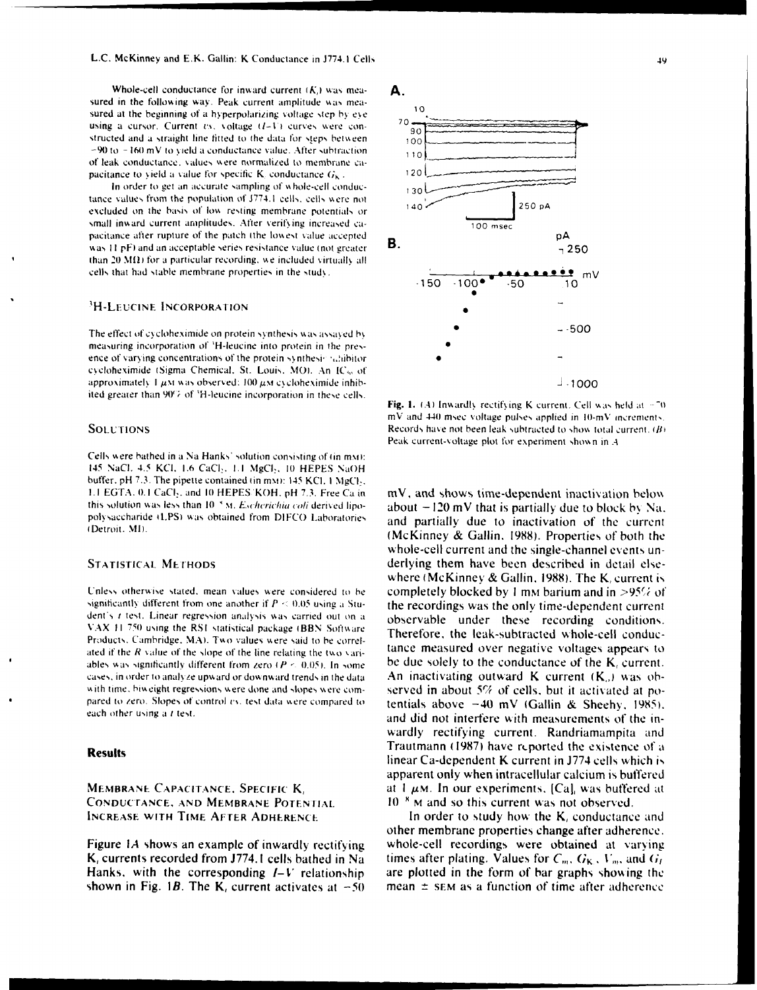Whole-cell conductance for inward current  $(K)$  was measured in the following way. Peak current amplitude was measured at the beginning of a hyperpolarizing voltage step by eye using a cursor. Current  $vs.$  voltage  $(I-V)$  curves were constructed and a straight line fitted to the data for steps between  $-90$  to  $-160$  mV to yield a conductance value. After subtraction of leak conductance, values were normalized to membrane capacitance to yield a value for specific K, conductance  $G_K$ .

In order to get an accurate sampling of whole-cell conductance values from the population of J774.1 cells, cells were not excluded on the basis of low resting membrane potentials or small inward current amplitudes. After verifying increased capacitance after rupture of the patch (the lowest value accepted was 11 pF) and an acceptable series resistance value (not greater than 20  $M(\Omega)$  for a particular recording, we included virtually all cells that had stable membrane properties in the study.

### <sup>3</sup>H-Leucine Incorporation

The effect of cycloheximide on protein synthesis was assayed by measuring incorporation of 'H-leucine into protein in the presence of varying concentrations of the protein synthesis subjitor cycloheximide (Sigma Chemical, St. Louis, MO). An IC<sub>50</sub> of approximately 1  $\mu$ M was observed: 100  $\mu$ M cycloheximide inhibited greater than 90% of 'H-leucine incorporation in these cells.

### **SOLUTIONS**

Cells were bathed in a Na Hanks' solution consisting of (in mx): 145 NaCl. 4.5 KCl. 1.6 CaCl., 1.1 MgCl., 10 HEPES NaOH buffer, pH 7.3. The pipette contained (in mM): 145 KCl, 1 MgCl<sub>2</sub>, 1.1 EGTA, 0.1 CaCl2, and 10 HEPES KOH, pH 7.3. Free Ca in this solution was less than 10<sup>x</sup> M. Escherichia coli derived lipopolysaccharide (LPS) was obtained from DIFCO Laboratories (Detroit, MI).

### **STATISTICAL METHODS**

Unless otherwise stated, mean values were considered to be significantly different from one another if  $P \le 0.05$  using a Student's t test. Linear regression analysis was carried out on a VAX 11-750 using the RS1 statistical package (BBN Software Products. Cambridge, MA). Two values were said to be correlated if the  $R$  value of the slope of the line relating the two variables was significantly different from zero  $(P < 0.05)$ . In some cases, in order to analyze upward or downward trends in the data with time, biweight regressions were done and slopes were compared to zero. Slopes of control vs. test data were compared to each other using a t test.

### **Results**

### MEMBRANE CAPACITANCE, SPECIFIC K, **CONDUCTANCE, AND MEMBRANE POTENTIAL INCREASE WITH TIME AFTER ADHERENCE**

Figure 1A shows an example of inwardly rectifying K, currents recorded from J774.1 cells bathed in Na Hanks, with the corresponding  $I-V$  relationship shown in Fig. 1B. The K, current activates at  $-50$ 

## А.



Fig. 1. (A) Inwardly rectifying K current. Cell was held at  $-70$ mV and 440 msec voltage pulses applied in 10-mV increments. Records have not been leak subtracted to show total current,  $(B)$ Peak current-voltage plot for experiment shown in A

mV, and shows time-dependent inactivation below about  $-120$  mV that is partially due to block by Na. and partially due to inactivation of the current (McKinney & Gallin, 1988). Properties of both the whole-cell current and the single-channel events underlying them have been described in detail elsewhere (McKinney & Gallin, 1988). The K, current is completely blocked by 1 mm barium and in >95% of the recordings was the only time-dependent current observable under these recording conditions. Therefore, the leak-subtracted whole-cell conductance measured over negative voltages appears to be due solely to the conductance of the  $K_i$  current. An inactivating outward  $K$  current  $(K_n)$  was observed in about 5% of cells, but it activated at potentials above  $-40$  mV (Gallin & Sheehy, 1985). and did not interfere with measurements of the inwardly rectifying current. Randriamampita and Trautmann (1987) have reported the existence of a linear Ca-dependent K current in J774 cells which is apparent only when intracellular calcium is buffered at 1  $\mu$ M. In our experiments, [Ca], was buffered at 10<sup>8</sup> M and so this current was not observed.

In order to study how the K, conductance and other membrane properties change after adherence. whole-cell recordings were obtained at varying times after plating. Values for  $C_m$ ,  $G_K$ ,  $V_m$ , and  $G_l$ are plotted in the form of bar graphs showing the mean  $\pm$  sem as a function of time after adherence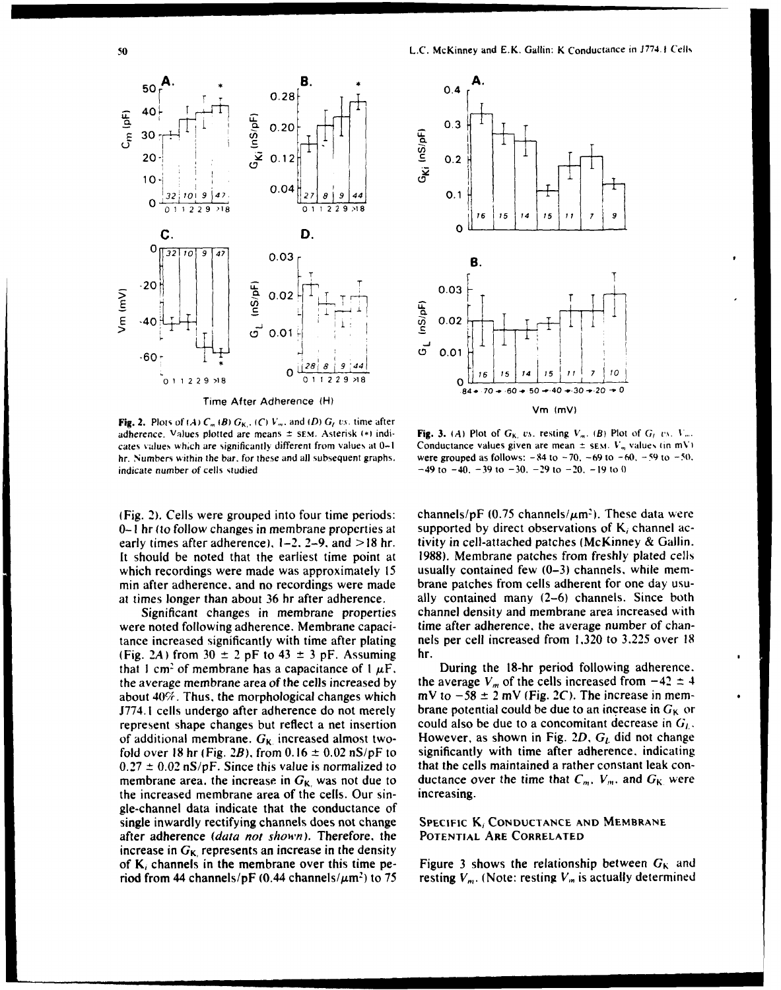

**Fig. 2.** Plots of  $(A)$   $C_m$   $(B)$   $G_K$ ,  $(C)$   $V_m$ , and  $(D)$   $G_t$   $vs.$  time after adherence. Values plotted are means  $\pm$  SEM. Asterisk (\*) indi-<br>cates values which are significantly different from values at 0-1 Conductance values given are mean  $\pm$  sEM.  $V_m$  values (in mV) cates values which are significantly different from values at 0-1 indicate number of cells studied  $-49$  **-49** to  $-40$ ,  $-39$  to  $-30$ ,  $-29$  to  $-20$ ,  $-19$  to 0

 $0-1$  hr *(to follow changes in membrane properties at* supported by direct observations of  $K_i$  channel acearly times after adherence), 1-2. **2-9.** and > **18** hr. tivity in cell-attached patches (McKinney **&** Gallin. It should be noted that the earliest time point at 1988). Membrane patches from freshly plated cells which recordings were made was approximately 15 usually contained few  $(0-3)$  channels, while memmin after adherence, and no recordings were made brane patches from cells adherent for one day usu-<br>at times longer than about 36 hr after adherence. ally contained many (2–6) channels. Since both at times longer than about 36 hr after adherence.

were noted following adherence. Membrane capaci-<br>time after adherence, the average number of chantance increased significantly with time after plating nels per cell increased from **1,320** to 3.225 over 18 (Fig. 2A) from  $30 \pm 2$  pF to  $43 \pm 3$  pF. Assuming hr. that  $1 \text{ cm}^2$  of membrane has a capacitance of  $1 \mu\text{F}$ . During the 18-hr period following adherence. the average membrane area of the cells increased by the average  $V_m$  of the cells increased from  $-42 \pm 4$ about 40%. Thus, the morphological changes which mV to  $-58 \pm 2$  mV (Fig. 2C). The increase in mem-J774.1 cells undergo after adherence do not merely brane potential could be due to an increase in  $G_K$  or represent shape changes but reflect a net insertion could also be due to a concomitant decrease in  $G_L$ , of additional membrane.  $G_K$  increased almost two-<br>However, as shown in Fig. 2D,  $G_L$  did not change of additional membrane.  $G_K$  increased almost two-<br>fold over 18 hr (Fig. 2B), from 0.16  $\pm$  0.02 nS/pF to significantly with time after adherence, indicating fold over 18 hr (Fig. 2B), from  $0.16 \pm 0.02$  nS/pF to  $0.27 \pm 0.02$  nS/pF. Since this value is normalized to that the cells maintained a rather constant leak conmembrane area, the increase in  $G_{\kappa}$ , was not due to ductance over the time that  $C_m$ ,  $V_m$ , and  $G_{\kappa}$  were the increased membrane area of the cells. Our sin- increasing. gle-channel data indicate that the conductance of single inwardly rectifying channels does not change **SPECIFic** K, **CONDUCTANCE AND** MEMBRANE after adherence (data not shown). Therefore. the **POTENTIAL** ARE **CORRELATED** increase in  $G_K$  represents an increase in the density of K, channels in the membrane over this time pe-<br>Figure 3 shows the relationship between  $G_K$  and riod from 44 channels/pF (0.44 channels/ $\mu$ m<sup>2</sup>) to 75 resting  $V_m$ . (Note: resting  $V_m$  is actually determined



hr. Numbers within the bar. for these and all subsequent graphs. were grouped as follows: -84 to **-70. -69** to -60. **-59** to -50.

(Fig. 2). Cells were grouped into four time periods: channels/pF (0.75 channels/ $\mu$ m<sup>2</sup>). These data were Significant changes in membrane properties channel density and membrane area increased with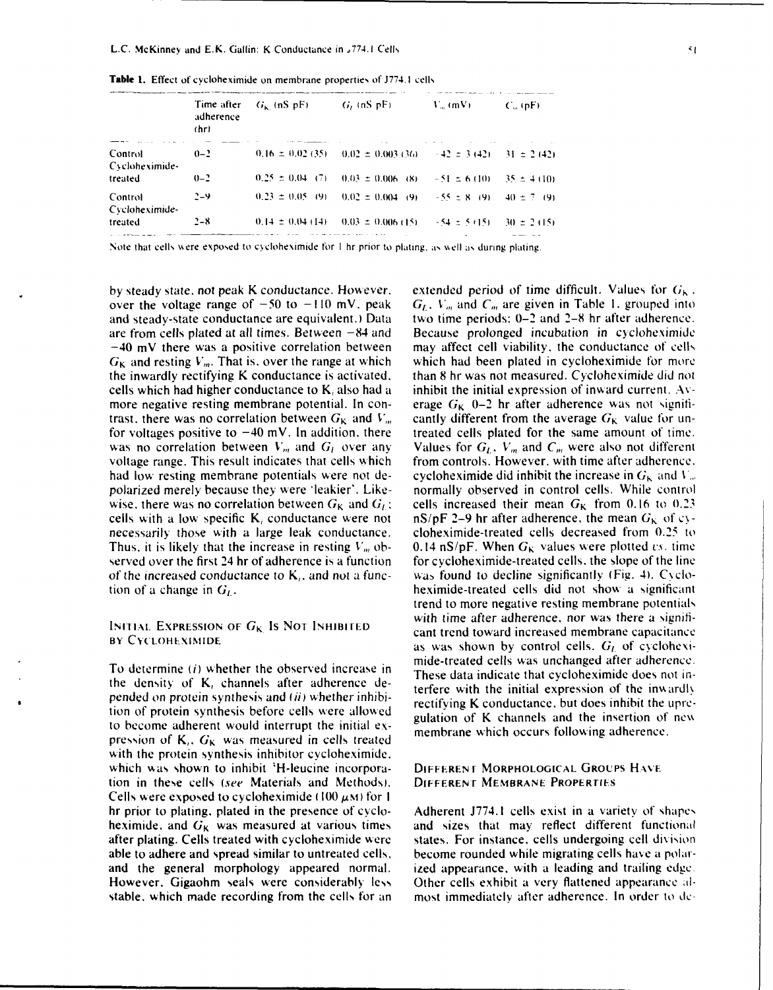|                           | Time after<br>adherence<br>(hr) | $G_k$ (nS $pF$ )     | $G_i$ (nS $pF_i$ )                                                                 | $V_m$ (mV). | $C_m$ (pF).     |
|---------------------------|---------------------------------|----------------------|------------------------------------------------------------------------------------|-------------|-----------------|
| Control<br>Cycloheximide- | $0 - 2$                         |                      | $0.16 \pm 0.02$ (35) $0.02 \pm 0.003$ (36) $\pm 42 \pm 3$ (42) $\pm 31 \pm 2$ (42) |             |                 |
| treated                   | $0 - 2$                         |                      | $0.25 \pm 0.04$ (7) $0.03 \pm 0.006$ (8) $-51 \pm 6$ (10)                          |             | $-35 \pm 4(10)$ |
| Control<br>Cycloheximide- | $2 - 9$                         |                      | $0.23 \pm 0.05$ (9) $0.02 \pm 0.004$ (9) $-55 \pm 8$ (9) 40 $\pm 7$ (9)            |             |                 |
| treated                   | $2 - 8$                         | $0.14 \pm 0.04$ (14) | $-0.03 \pm 0.006$ (15) $-54 \pm 5$ (15) $-30 \pm 2$ (15)                           |             |                 |

**Table 1.** Effect of cycloheximide on membrane properties of **J774.** I cells

Note that cells were exposed to cycloheximide for 1 hr prior to plating, as well as during plating.

and steady-state conductance are equivalent.) Data  $G_K$  and resting  $V_m$ . That is, over the range at which for voltages positive to  $-40$  mV. In addition, there treated cells plated for the same amount of time.

# **BY CYCLOHEXIMIDE**

the density of K, channels after adherence de-<br>terfere with the initial expression of the inwardly pended on protein synthesis and  $(ii)$  whether inhibi-<br>tion of protein synthesis before cells were allowed<br>rectifying K conductance, but does inhibit the upreto become adherent would interrupt the initial ex-<br>to become adherent would interrupt the initial ex-<br>membrane which occurs following adherence. pression of  $K_i$ ,  $G_K$  was measured in cells treated with the protein synthesis inhibitor cycloheximide. which was shown to inhibit 'H-leucine incorpora- DIFFERENT MORPHOLOGICAL GROUPS HAVE tion in these cells (see Materials and Methods). DIFFERENr MEMBRANE **PROPERriES** Cells were exposed to cycloheximide (100  $\mu$ M) for 1 hr prior to plating. plated in the presence of cyclo- Adherent J774.1 cells exist in a variety of shape, heximide, and  $G_K$  was measured at various times and sizes that may reflect different functional after plating. Cells treated with cycloheximide were states. For instance, cells undergoing cell division able to adhere and spread similar to untreated cells, become rounded while migrating cells have a polarand the general morphology appeared normal. ized appearance. with a leading and trailing edge. However. Gigaohm seals were considerably less Other cells exhibit **a** very flattened appearance **al**stable, which made recording from the cells for an most immediately after adherence. In order to de-

by steady state, not peak K conductance. However, extended period of time difficult. Values for  $G_k$ . over the voltage range of  $-50$  to  $-110$  mV, peak  $G_L$ ,  $V_m$  and  $C_m$  are given in Table 1, grouped into and steady-state conductance are equivalent.) Data two time periods: 0–2 and 2–8 hr after adherence. are from cells plated at all times. Between  $-84$  and Because prolonged incubation in cycloheximide  $-40$  mV there was a positive correlation between may affect cell viability, the conductance of cells  $G_K$  and resting  $V_m$ . That is, over the range at which which had been plated in cycloheximide for more the inwardly rectifying K conductance is activated, than 8 hr was not measured. Cycloheximide did **not** cells which had higher conductance to  $K_i$  also had a inhibit the initial expression of inward current. Avmore negative resting membrane potential. In con- erage  $G_K$  0-2 hr after adherence was not signifitrast, there was no correlation between  $G_K$  and  $V_m$  cantly different from the average  $G_K$  value for unwas no correlation between  $V_m$  and  $G_l$  over any Values for  $G_l$ ,  $V_m$  and  $C_m$  were also not different voltage range. This result indicates that cells which from controls. However, with time after adherence. had low resting membrane potentials were not de- cycloheximide did inhibit the increase in  $G_K$  and **V**<sub>n</sub>. polarized merely because they were \*leakier'. Like- normally observed in control cells. While control wise, there was no correlation between  $G_K$  and  $G_L$ ; cells increased their mean  $G_K$  from 0.16 to 0.23 cells with a low specific K<sub>i</sub> conductance were not nS/pF 2-9 hr after adherence, the mean  $G_K$  of cynecessarily those with a large leak conductance. cloheximide-treated cells decreased from 0.25 to Thus, it is likely that the increase in resting  $V_m$  ob- 0.14 nS/pF. When  $G_K$  values were plotted vs. time served over the first 24 hr of adherence is a function for cycloheximide-treated cells, the slope of the line of the increased conductance to  $K<sub>i</sub>$ , and not a func- was found to decline significantly (Fig. 4). Cyclotion of a change in  $G_t$ . heximide-treated cells did not show a significant trend to more negative resting membrane potentials **EXPRESSION OF**  $G_K$  **Is NOT INHIBITED** with time after adherence, nor was there a signifi-<br>cant trend toward increased membrane capacitance as was shown by control cells.  $G_I$  of cyclohexi-To determine (*i*) whether the observed increase in mide-treated cells was unchanged after adherence.<br>These data indicate that cycloheximide does not in-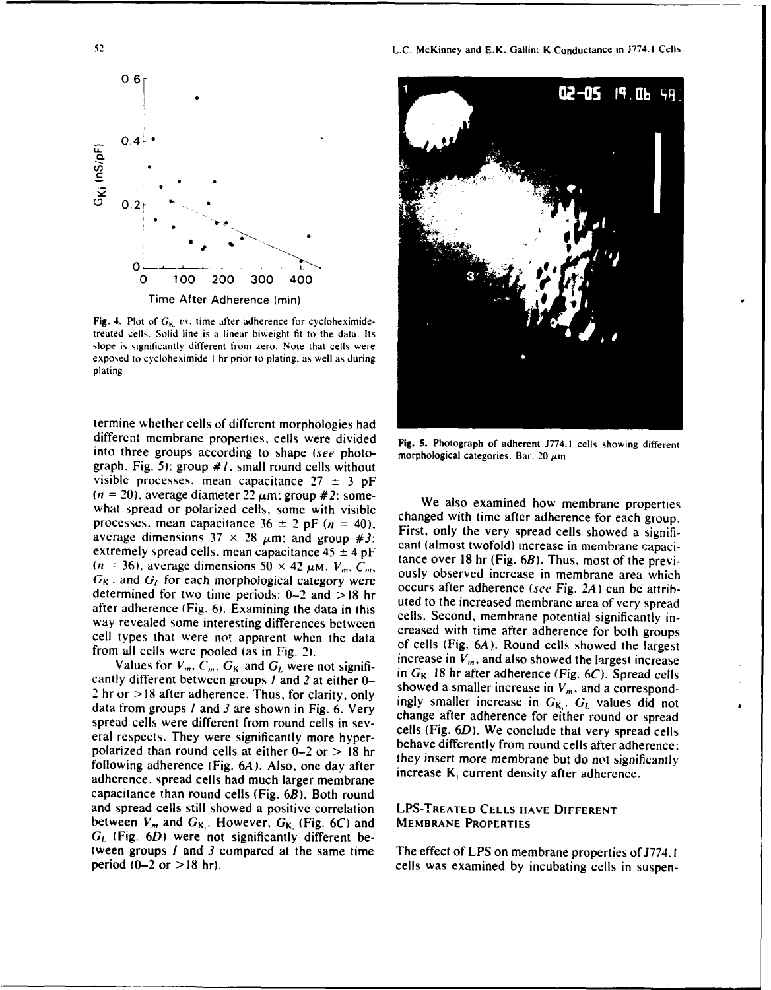

Fig. 4. Plot of  $G_{K}$  vs. time after adherence for cycloheximidetreated cells. Solid line is a linear biweight fit to the data. Its slope is significantly different from zero. Note that cells were exposed to cycloheximide **I** hr prior to plating, as well as during plating

termine whether cells of different morphologies had different membrane properties, cells were divided Fig. **5.** Photograph of adherent **J774.1** cells showing different into three groups according to shape (see photo- morphological categories. Bar:  $20 \mu m$ ) graph. Fig. 5): group *#1.* small round cells without visible processes, mean capacitance 27 **± 3 pF**  $(n = 20)$ , average diameter 22  $\mu$ m; group *#2:* some-<br>what spread or polarized cells, some with visible changed with time after adherence for each group.

data from groups *I* and *3* are shown in Fig. 6. Very<br>spread cells were different from round cells in sev-<br>eils (Fig. 6D). We conclude that very spread cells<br>and respect to the conclude that very spread cells polarized than round cells at either  $0-2$  or  $> 18$  hr they insert more membrane but do not significantly following adherence. (Fig. 64), Algo, and do not significantly following adherence (Fig.  $6A$ ). Also, one day after increase  $K_i$  current density after adherence. adherence, spread cells had much larger membrane capacitance than round cells (Fig. 6B). Both round and spread cells still showed a positive correlation LPS-TREATED **CELLS HAVE** DIFFERENT between  $V_m$  and  $G_{K}$ . However,  $G_{K}$ , (Fig. 6C) and MEMBRANE PROPERTIES  $G_l$  (Fig.  $6D$ ) were not significantly different between groups *I* and *3* compared at the same time The effect of LPS on membrane properties of J774. I



processes, mean capacitance  $36 \pm 2$  pF ( $n = 40$ ). First, only the very spread cells showed a signifi-<br>averse dimensione  $37 \times 38$  up and weaven  $\mu_{34}$ . First, only the very spread cells showed a signifiaverage dimensions  $37 \times 28 \mu m$ ; and group #3:<br>extremely spread cells, mean capacitance  $45 \pm 4 \mu F$ <br>( $n = 36$ ), average dimensions  $50 \times 42 \mu M$ .  $V_m$ ,  $C_m$ ,<br> $C_m$  and  $C_m$  for such manhalogical such a such a such a such a s  $G_K$ , and  $G_L$  for each morphological category were outlined were occurs after adherence (see Fig. 2A) can be attrib-<br>determined for two time neglect 0.2 and  $> 19$  kg. determined for two time periods: 0-2 and  $> 18$  hr<br>after adherence (Fig. 6). Examining the data in this cells. Second, membrane potential significantly in-<br>way revealed come interesting differences between way revealed some interesting differences between<br>cell types that were not apparent when the data<br>from all cells were pooled (as in Fig. 2).<br>Motion for  $V = C$ , and  $C$  were not since in  $V_m$ , and also showed the largest in Values for  $V_m$ ,  $C_m$ ,  $G_K$  and  $G_L$  were not signifi-<br>in  $G_K$ , 18 hr after adherence (Fig. 6C). Spread cells cantly different between groups l and 2 at either 0-<br>2 hr or >18 after adherence. Thus, for clarity, only<br>data from groups l and 2 are shown in Eig 6. Mary eral respects. They were significantly more hyper-<br>behave differently from round cells after adherence:

period (0-2 or > 18 hr). cells was examined by incubating cells in suspen-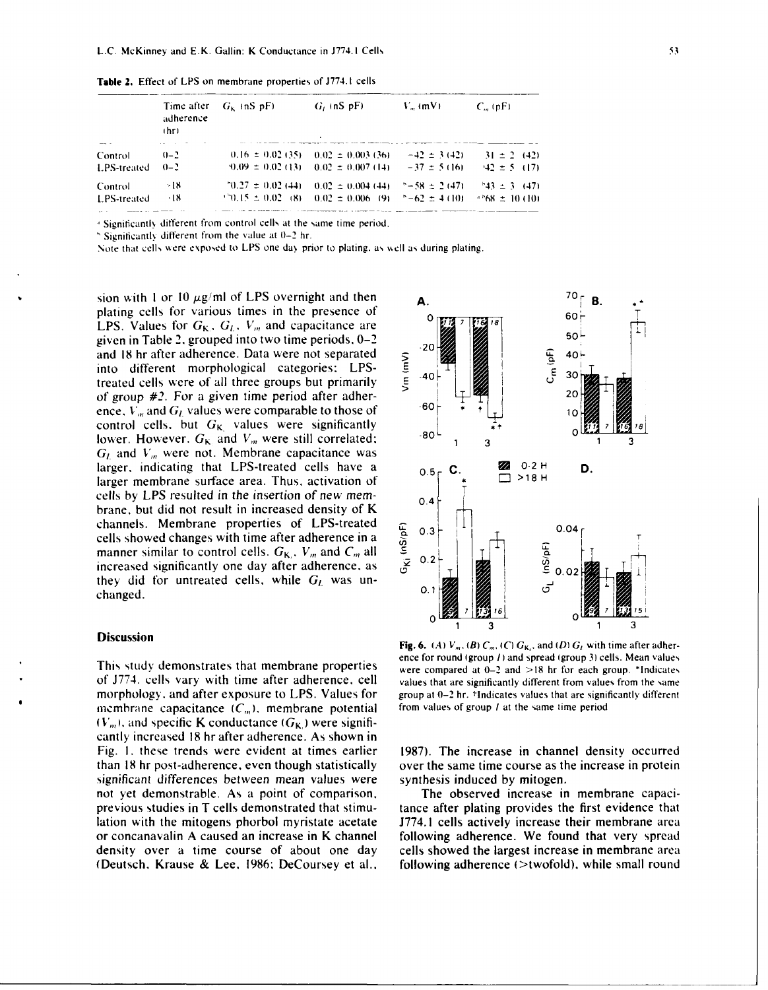|                          | adherence<br>(hr) | Time after $G_k$ (nS pF) | $G_i$ (nS $pF_i$ )                                                | $V_m$ (mV) | $C_{\alpha}$ (pF) |
|--------------------------|-------------------|--------------------------|-------------------------------------------------------------------|------------|-------------------|
| Control                  | $(1 - 2)$         |                          | $0.16 \pm 0.02$ (35) $0.02 \pm 0.003$ (36) $-42 \pm 3$ (42)       |            | $31 \pm 2$ (42)   |
| <b>LPS-treated</b>       | $0 - 2$           |                          | $0.09 \pm 0.02$ (13) $0.02 \pm 0.007$ (14) $-37 \pm 5$ (16)       |            | $42 \pm 5$ (17)   |
| Control                  | -18               | $10.27 \pm 0.02$ (44)    | $0.02 \pm 0.004(44)$ $-58 \pm 2(47)$                              |            | $-43 \pm 3$ (47)  |
| LPS-treated<br>_________ | $+18$             |                          | $\pm 0.15 \pm 0.02$ (8) $0.02 \pm 0.006$ (9) $\pm -62 \pm 4$ (10) |            | $+88 \pm 10(10)$  |

**Table 2.** Effect of **LPS** on membrane properties of **J774. I** cells

<sup>4</sup> Significantly different from control cells at the same time period.

Significantly different from the value at 0-2 hr.

Note that cells were exposed to LPS one day prior to plating, as well as during plating.

sion with 1 or 10  $\mu$ g/ml of LPS overnight and then  $\mathbf{A}$ .  $\mathbf{A}$ plating cells for various times in the presence of  $\begin{bmatrix} 0 & 0 \\ 0 & 0 \end{bmatrix}$ LPS. Values for **GK.** G.. *V,,,* and capacitance are *7* **Io?** given in Table 2. grouped into two time periods.  $0-2$ <br>and 18 hr after adherence. Data were not separated<br>into different morphological categories: LPS-<br>treated cells were of all three groups but primarily and 18 hr after adherence. Data were not separated<br>into different morphological categories: LPS-<br>treated cells were of all three groups but primarily<br> $\begin{bmatrix} 2 & 40 \\ 2 & 40 \end{bmatrix}$ into different morphological categories: LPS-  $\begin{bmatrix} 1 & 2 & 30 \\ 2 & 40 & 1 \end{bmatrix}$ treated cells were of all three groups but primarily of group #2. For a given time period after adher-<br>
and C values were comparable to those of  $\begin{array}{c} \begin{array}{c} \text{9} \\ \text{10} \end{array} \end{array}$  20 ence.  $V_m$  and  $G_l$  values were comparable to those of control cells. but  $G_K$  values were significantly<br>lower However  $G_K$  and V were still correlated: lower. However.  $G_K$  and  $V_m$  were still correlated:  $G_l$  and  $V_m$  were not. Membrane capacitance was larger. indicating that LPS-treated cells have a **0.5 C. 24** 0.2 H **D.** larger mombrane surface area. Thus, activation of  $\begin{bmatrix} 1 & 0.5 \end{bmatrix}$   $\begin{bmatrix} 2 & 0.2 \end{bmatrix}$   $\begin{bmatrix} 2 & 0.2 \end{bmatrix}$ larger membrane surface area. Thus, activation of cells by LPS resulted in the insertion of new membrane. but did not result in increased density of K channels. Membrane properties of LPS-treated<br>cells showed changes with time after adherence in a<br>manner similar to control cells.  $G_K$ ,  $V_m$  and  $C_m$  all<br>increased significantly one day after adherence, as  $\frac{3}{5}$  0.2 cells showed changes with time after adherence in a<br>manner similar to control cells.  $G_K$ ,  $V_m$  and  $C_m$  all  $\frac{2}{5}$  0.3 **r** T<br>increased significantly one day after adherence, as  $\frac{2}{5}$  0.2 **r** T manner similar to control cells.  $G_K$ ,  $V_m$  and  $C_m$  all  $\frac{E}{2}$  0.2 increased significantly one day after adherence, as they did for untreated cells, while  $G_L$  was unchanged.

### **Discussion**

of J774. cells vary with time after adherence, cell values that are significantly different from values from the same morphology, and after exposure to LPS. Values for group at **0-2** hr. 'Indicates values that are significantly different membrane capacitance  $(C_m)$ , membrane potential from values of group *l* at the same time period  $(V_m)$ , and specific K conductance  $(G_K)$  were significantly increased 18 hr after adherence. As shown in Fig. I. these trends were evident at times earlier 1987). The increase in channel density occurred than **18** hr post-adherence. even though statistically over the same time course as the increase in protein significant differences between mean values were synthesis induced by mitogen. not yet demonstrable. As a point of comparison. The observed increase in membrane capaciprevious studies in T cells demonstrated that stimu- tance after plating provides the first evidence that lation with the mitogens phorbol myristate acetate J774.1 cells actively increase their membrane area or concanavalin A caused an increase in K channel following adherence. We found that very spread density over a time course of about one day cells showed the largest increase in membrane area (Deutsch. Krause & Lee. 1986: DeCoursey et al., following adherence (>twofold). while small round



**Fig. 6.** (A)  $V_m$ , (B)  $C_m$ , (C)  $G_K$ , and (D)  $G_L$  with time after adherence for round (group *I)* and spread (group **3)** cells. Mean values This study demonstrates that membrane properties were compared at 0-2 and >18 hr for each group. \*Indicates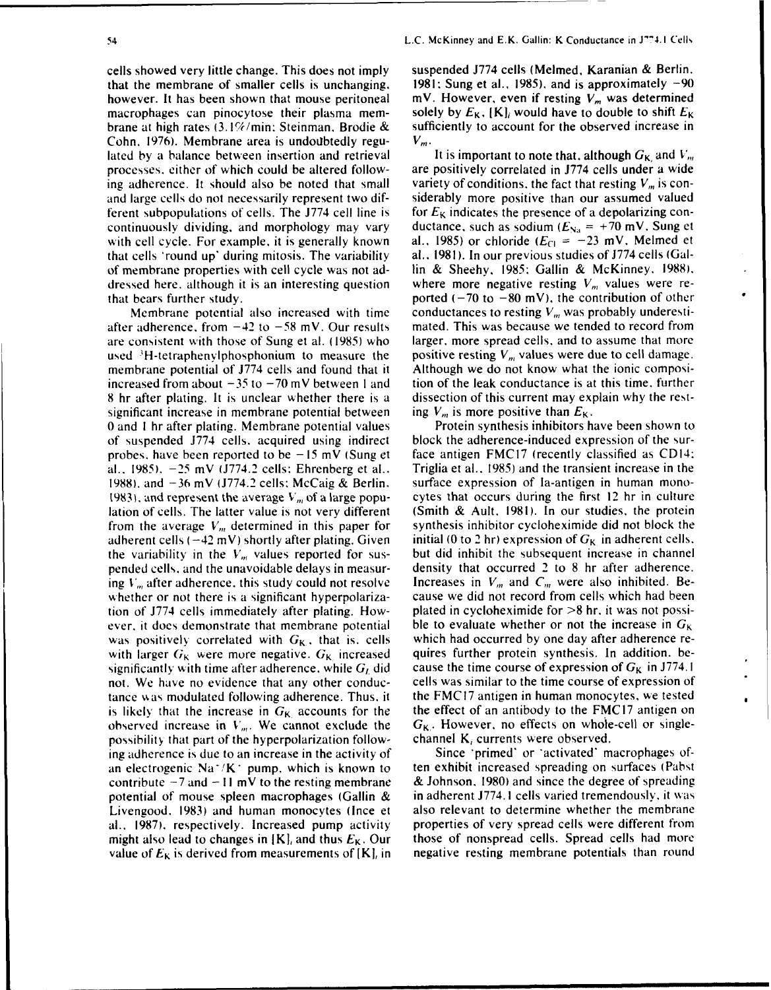cells showed very little change. This does not imply suspended J774 cells (Melmed, Karanian & Berlin. that the membrane of smaller cells is unchanging. 1981: Sung et al., 1985), and is approximately **-90** however. It has been shown that mouse peritoneal  $\mathbf{w}$ . However, even if resting  $V_m$  was determined macrophages can pinocytose their plasma mem-<br>solely by  $E_K$ ,  $[K]_i$  would have to double to shift  $E_K$ brane at high rates **(3.** 1%/min: Steinman, Brodie & sufficiently to account for the observed increase in Cohn. 1976). Membrane area is undoubtedly regu-  $V_m$ . lated by a balance between insertion and retrieval It is important to note that, although  $G_K$  and  $V_m$ processes. either of which could be altered follow- are positively correlated in J774 cells under a wide ing adherence. It should also be noted that small variety of conditions, the fact that resting  $V_m$  is conand large cells do not necessarily represent two dif- siderably more positive than our assumed valued ferent subpopulations of cells. The J774 cell line is for  $E_K$  indicates the presence of a depolarizing concontinuously dividing, and morphology may vary ductance, such as sodium  $(E_{\text{Na}} = +70 \text{ mV}$ . Sung et with cell cycle. For example, it is generally known al., 1985) or chloride ( $E_{\text{Cl}} = -23$  mV. Melmed et

after adherence, from  $-42$  to  $-58$  mV. Our results mated. This was because we tended to record from are consistent with those of Sung et al. (1985) who larger. more spread cells, and to assume that more used  $3H$ -tetraphenvlphosphonium to measure the positive resting  $V_m$  values were due to cell damage. membrane potential of J774 cells and found that it Although we do not know what the ionic composiincreased from about  $-35$  to  $-70$  mV between 1 and tion of the leak conductance is at this time. further 8 hr after plating. It is unclear whether there is a dissection of this current may explain why the restsignificant increase in membrane potential between ing  $V_m$  is more positive than  $E_K$ . 0 and I hr after plating. Membrane potential values Protein synthesis inhibitors have been shown to of suspended J774 cells. acquired using indirect block the adherence-induced expression of the surprobes. have been reported to be - **<sup>15</sup>**mV (Sung et face antigen FMC17 (recently classified as CDI4: al.. 1985). -25 mV (J774.2 cells: Ehrenberg et al.. Triglia et al.. 1985) and the transient increase in the 1988). and -36 mV 1774.2 cells: McCaig & Berlin. surface expression of la-antigen in human mono-1983), and represent the average  $V_m$  of a large popu- cytes that occurs during the first 12 hr in culture lation of cells. The latter value is not very different (Smith & Ault. 1981). In our studies, the protein from the average  $V_m$ , determined in this paper for synthesis inhibitor cycloheximide did not block the adherent cells ( $-42$  mV) shortly after plating. Given initial (0 to 2 hr) expression of  $G_K$  in adherent cells.<br>the variability in the  $V_m$  values reported for sus-<br>but did inhibit the subsequent increase in channel the variability in the  $V_m$  values reported for suspended cells, and the unavoidable delays in measur- density that occurred 2 to 8 hr after adherence. ing  $V_m$  after adherence, this study could not resolve Increases in  $V_m$  and  $C_m$  were also inhibited. Bewhether or not there is a significant hyperpolariza-<br>cause we did not record from cells which had been tion of J774 cells immediately after plating. How- plated in cycloheximide for >8 **hr.** it was not possiever, it does demonstrate that membrane potential ble to evaluate whether or not the increase in  $G_K$ was positively correlated with  $G_K$ , that is. cells which had occurred by one day after adherence rewith larger  $G_K$  were more negative.  $G_K$  increased quires further protein synthesis. In addition. besignificantly with time after adherence, while  $G_L$  did cause the time course of expression of  $G_K$  in J774. I not. We have no evidence that any other conduc- cells was similar to the time course of expression of tance was modulated following adherence. Thus, it the FMC17 antigen in human monocytes, we tested is likely that the increase in  $G_K$  accounts for the the effect of an antibody to the FMC17 antigen on observed increase in  $V_m$ . We cannot exclude the  $G_{K}$ . However, no effects on whole-cell or singlepossibility that part of the hyperpolarization follow- channel  $K_i$  currents were observed. ing adherence is due to an increase in the activity of Since 'primed' or 'activated' macrophages ofan electrogenic Na<sup>-</sup>/K<sup> $\cdot$ </sup> pump, which is known to ten exhibit increased spreading on surfaces (Pabst contribute  $-7$  and  $-11$  mV to the resting membrane & Johnson. 1980) and since the degree of spreading potential of mouse spleen macrophages (Gallin & in adherent J774. **1** cells varied tremendously, it was Livengood. 1983) and human monocytes (Ince et also relevant to determine whether the membrane al.. 1987). respectively. Increased pump activity properties of very spread cells were different from might also lead to changes in  $[K]_i$  and thus  $E_K$ . Our those of nonspread cells. Spread cells had more

that cells 'round up' during mitosis. The variability al., 1981). In our previous studies of J774 cells (Galof membrane properties with cell cycle was not ad- lin & Sheehy, 1985: Gallin & McKinney. 1988). dressed here, although it is an interesting question where more negative resting  $V_m$  values were rethat bears further study. **ported (-70 to -80 mV)**, the contribution of other Membrane potential also increased with time conductances to resting  $V_m$  was probably underesti-

value of  $E_K$  is derived from measurements of  $[K]_i$  in negative resting membrane potentials than round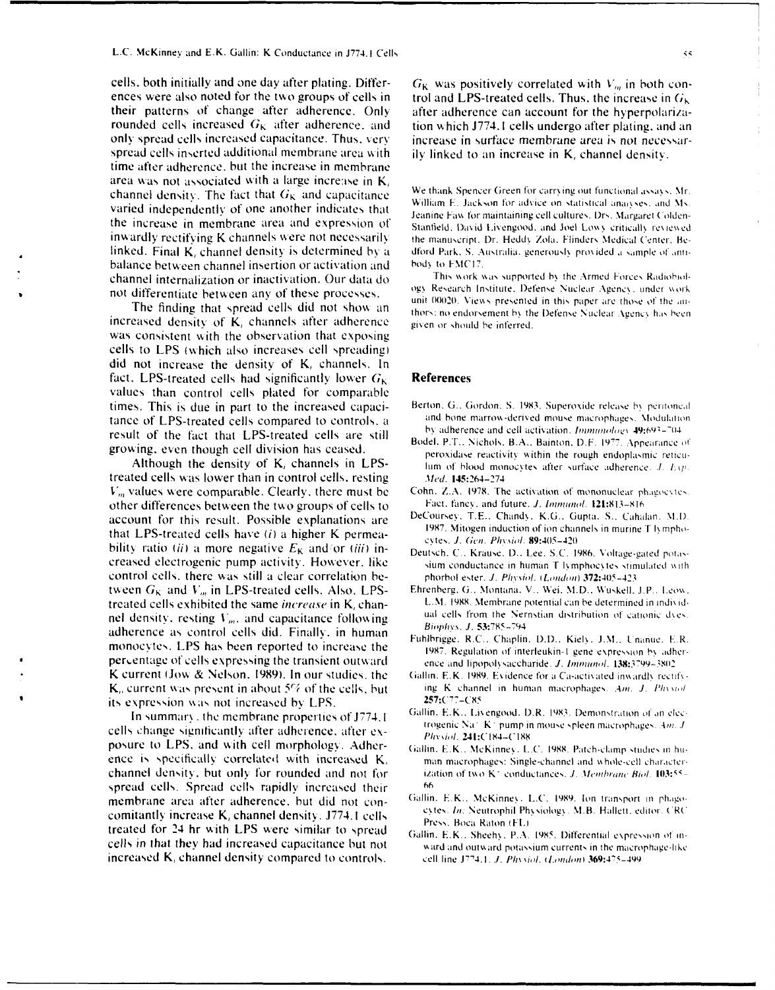cells, both initially and one day after plating. Differences were also noted for the two groups of cells in their patterns of change after adherence. Only rounded cells increased  $G_K$  after adherence, and only spread cells increased capacitance. Thus, very spread cells inserted additional membrane area with time after adherence, but the increase in membrane area was not associated with a large increase in  $K_i$ channel density. The fact that  $G_K$  and capacitance varied independently of one another indicates that the increase in membrane area and expression of inwardly rectifying K channels were not necessarily linked. Final K, channel density is determined by a balance between channel insertion or activation and channel internalization or inactivation. Our data do not differentiate between any of these processes.

The finding that spread cells did not show an increased density of K, channels after adherence was consistent with the observation that exposing cells to LPS (which also increases cell spreading) did not increase the density of K, channels. In fact. LPS-treated cells had significantly lower  $G_K$ values than control cells plated for comparable times. This is due in part to the increased capacitance of LPS-treated cells compared to controls, a result of the fact that LPS-treated cells are still growing, even though cell division has ceased.

Although the density of  $K_i$  channels in LPStreated cells was lower than in control cells, resting  $V_m$  values were comparable. Clearly, there must be other differences between the two groups of cells to account for this result. Possible explanations are that LPS-treated cells have  $(i)$  a higher K permeability ratio (ii) a more negative  $E_K$  and/or (iii) increased electrogenic pump activity. However, like control cells, there was still a clear correlation between  $G_K$  and  $V_m$  in LPS-treated cells. Also, LPStreated cells exhibited the same increase in K, channel density, resting  $V_m$ , and capacitance following adherence as control cells did. Finally, in human monocytes. LPS has been reported to increase the percentage of cells expressing the transient outward K current (Jow & Nelson, 1989). In our studies, the  $K<sub>o</sub>$  current was present in about 5% of the cells, but its expression was not increased by LPS.

In summary, the membrane properties of J774.1 cells change significantly after adherence, after exposure to LPS, and with cell morphology. Adherence is specifically correlated with increased K. channel density, but only for rounded and not for spread cells. Spread cells rapidly increased their membrane area after adherence, but did not concomitantly increase K<sub>i</sub> channel density. J774.1 cells treated for 24 hr with LPS were similar to spread cells in that they had increased capacitance but not increased K<sub>i</sub> channel density compared to controls.

 $G_{\rm K}$  was positively correlated with  $V_m$  in both control and LPS-treated cells. Thus, the increase in  $G_{K}$ after adherence can account for the hyperpolarization which J774.1 cells undergo after plating, and an increase in surface membrane area is not necessarily linked to an increase in  $K_i$  channel density.

We thank Spencer Green for carrying out functional assays. Mr William E. Jackson for advice on statistical analyses, and Ms. Jeanine Faw for maintaining cell cultures. Drs. Margaret Colden-Stanfield, David Livengood, and Joel Lowy critically reviewed the manuscript. Dr. Heddy Zola, Flinders Medical Center. Bedford Park, S. Australia, generously provided a sample of antibody to FMC17.

This work was supported by the Armed Forces Radiobiology Research Institute, Defense Nuclear Agency, under work unit 00020. Views presented in this paper are those of the authors; no endorsement by the Defense Nuclear Agency has been given or should be inferred.

### **References**

- Berton, G., Gordon, S. 1983. Superoxide release by peritoneal and bone marrow-derived mouse macrophages. Modulation by adherence and cell activation. Immunology 49:693-704
- Bodel, P.T., Nichols, B.A., Bainton, D.F. 1977. Appearance of peroxidase reactivity within the rough endoplasmic reticulum of blood monocytes after surface adherence.  $J$ .  $Eyp$ . Med. 145:264-274
- Cohn, Z.A. 1978. The activation of mononuclear phagocytes. Fact, fancy, and future, J. Immunol. 121:813-816
- DeCoursey, T.E., Chandy, K.G., Gupta, S., Cahalan, M.D. 1987. Mitogen induction of ion channels in murine T lymphocytes. J. Gen. Physiol. 89:405-420
- Deutsch, C., Krause, D., Lee, S.C. 1986, Voltage-gated potassium conductance in human T lymphocytes stimulated with phorbol ester. J. Physiol. (London) 372:405-423
- Ehrenberg, G., Montana, V., Wei, M.D., Wuskell, J.P., Leow, L.M. 1988. Membrane potential can be determined in individual cells from the Nernstian distribution of cationic dyes. Biophys. J. 53:785-794
- Fuhlbrigge, R.C., Chaplin, D.D., Kiely, J.M., Unanue, E.R. 1987. Regulation of interleukin-1 gene expression by adherence and lipopolysaccharide. J. Immunol. 138:3799-3802.
- Gallin, E.K. 1989. Evidence for a Ca-activated inwardly rectifying K channel in human macrophages. Am. J. Physiol 257:C77-C85
- Gallin, E.K., Livengood, D.R. 1983. Demonstration of an electrogenic Na K pump in mouse spleen macrophages. Am. J Physiol. 241:C184-C188
- Gallin, E.K., McKinney, L.C. 1988. Patch-clamp studies in human macrophages: Single-channel and whole-cell characterization of two K<sup>2</sup> conductances. *J. Membrane Biol*. 103:55-66
- Gallin, E.K., McKinney, L.C. 1989. Ion transport in phagocytes. In: Neutrophil Physiology, M.B. Hallett, editor. CRC Press, Boca Raton (FL)
- Gallin, E.K., Sheehy, P.A. 1985. Differential expression of inward and outward potassium currents in the macrophage-like cell line J774.1. J. Physiol. (London) 369:475-499